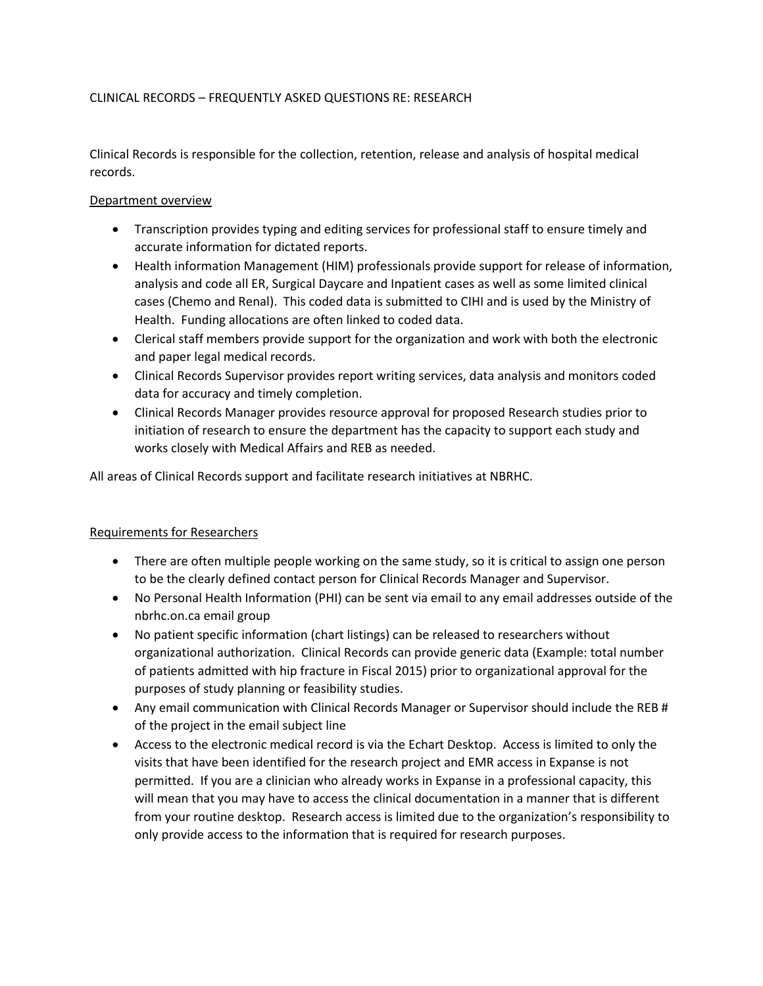## CLINICAL RECORDS – FREQUENTLY ASKED QUESTIONS RE: RESEARCH

Clinical Records is responsible for the collection, retention, release and analysis of hospital medical records.

## Department overview

- Transcription provides typing and editing services for professional staff to ensure timely and accurate information for dictated reports.
- Health information Management (HIM) professionals provide support for release of information, analysis and code all ER, Surgical Daycare and Inpatient cases as well as some limited clinical cases (Chemo and Renal). This coded data is submitted to CIHI and is used by the Ministry of Health. Funding allocations are often linked to coded data.
- Clerical staff members provide support for the organization and work with both the electronic and paper legal medical records.
- Clinical Records Supervisor provides report writing services, data analysis and monitors coded data for accuracy and timely completion.
- Clinical Records Manager provides resource approval for proposed Research studies prior to initiation of research to ensure the department has the capacity to support each study and works closely with Medical Affairs and REB as needed.

All areas of Clinical Records support and facilitate research initiatives at NBRHC.

## Requirements for Researchers

- There are often multiple people working on the same study, so it is critical to assign one person to be the clearly defined contact person for Clinical Records Manager and Supervisor.
- No Personal Health Information (PHI) can be sent via email to any email addresses outside of the nbrhc.on.ca email group
- No patient specific information (chart listings) can be released to researchers without organizational authorization. Clinical Records can provide generic data (Example: total number of patients admitted with hip fracture in Fiscal 2015) prior to organizational approval for the purposes of study planning or feasibility studies.
- Any email communication with Clinical Records Manager or Supervisor should include the REB # of the project in the email subject line
- Access to the electronic medical record is via the Echart Desktop. Access is limited to only the visits that have been identified for the research project and EMR access in Expanse is not permitted. If you are a clinician who already works in Expanse in a professional capacity, this will mean that you may have to access the clinical documentation in a manner that is different from your routine desktop. Research access is limited due to the organization's responsibility to only provide access to the information that is required for research purposes.